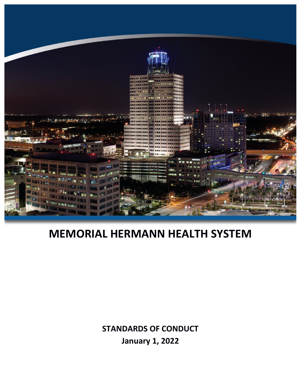

# **MEMORIAL HERMANN HEALTH SYSTEM**

**STANDARDS OF CONDUCT January 1, 2022**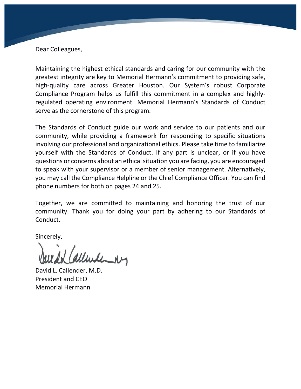Dear Colleagues,

Maintaining the highest ethical standards and caring for our community with the greatest integrity are key to Memorial Hermann's commitment to providing safe, high-quality care across Greater Houston. Our System's robust Corporate Compliance Program helps us fulfill this commitment in a complex and highlyregulated operating environment. Memorial Hermann's Standards of Conduct serve as the cornerstone of this program.

The Standards of Conduct guide our work and service to our patients and our community, while providing a framework for responding to specific situations involving our professional and organizational ethics. Please take time to familiarize yourself with the Standards of Conduct. If any part is unclear, or if you have questions or concerns about an ethical situation you are facing, you are encouraged to speak with your supervisor or a member of senior management. Alternatively, you may call the Compliance Helpline or the Chief Compliance Officer. You can find phone numbers for both on pages 24 and 25.

Together, we are committed to maintaining and honoring the trust of our community. Thank you for doing your part by adhering to our Standards of Conduct.

Sincerely,

allenderby

David L. Callender, M.D. President and CEO Memorial Hermann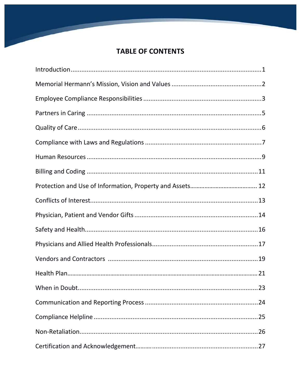### **TABLE OF CONTENTS**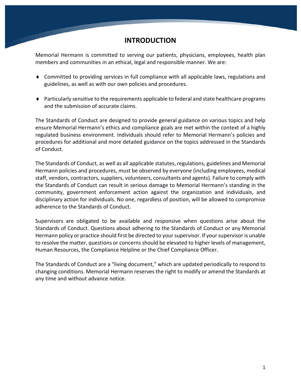#### **INTRODUCTION**

Memorial Hermann is committed to serving our patients, physicians, employees, health plan members and communities in an ethical, legal and responsible manner. We are:

- ♦ Committed to providing services in full compliance with all applicable laws, regulations and guidelines, as well as with our own policies and procedures.
- $\blacklozenge$  Particularly sensitive to the requirements applicable to federal and state healthcare programs and the submission of accurate claims.

The Standards of Conduct are designed to provide general guidance on various topics and help ensure Memorial Hermann's ethics and compliance goals are met within the context of a highly regulated business environment. Individuals should refer to Memorial Hermann's policies and procedures for additional and more detailed guidance on the topics addressed in the Standards of Conduct.

The Standards of Conduct, as well as all applicable statutes, regulations, guidelines and Memorial Hermann policies and procedures, must be observed by everyone (including employees, medical staff, vendors, contractors, suppliers, volunteers, consultants and agents). Failure to comply with the Standards of Conduct can result in serious damage to Memorial Hermann's standing in the community, government enforcement action against the organization and individuals, and disciplinary action for individuals. No one, regardless of position, will be allowed to compromise adherence to the Standards of Conduct.

Supervisors are obligated to be available and responsive when questions arise about the Standards of Conduct. Questions about adhering to the Standards of Conduct or any Memorial Hermann policy or practice should first be directed to your supervisor. If your supervisor is unable to resolve the matter, questions or concerns should be elevated to higher levels of management, Human Resources, the Compliance Helpline or the Chief Compliance Officer.

The Standards of Conduct are a "living document," which are updated periodically to respond to changing conditions. Memorial Hermann reserves the right to modify or amend the Standards at any time and without advance notice.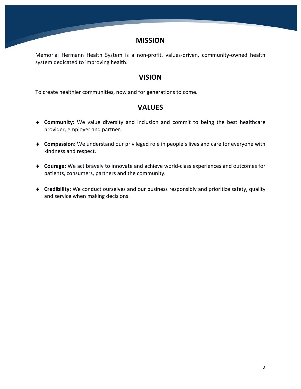#### **MISSION**

Memorial Hermann Health System is a non-profit, values-driven, community-owned health system dedicated to improving health.

#### **VISION**

To create healthier communities, now and for generations to come.

#### **VALUES**

- ♦ **Community:** We value diversity and inclusion and commit to being the best healthcare provider, employer and partner.
- ♦ **Compassion:** We understand our privileged role in people's lives and care for everyone with kindness and respect.
- ♦ **Courage:** We act bravely to innovate and achieve world-class experiences and outcomes for patients, consumers, partners and the community.
- ♦ **Credibility:** We conduct ourselves and our business responsibly and prioritize safety, quality and service when making decisions.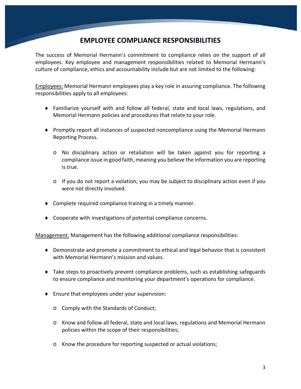### **EMPLOYEE COMPLIANCE RESPONSIBILITIES**

The success of Memorial Hermann's commitment to compliance relies on the support of all employees. Key employee and management responsibilities related to Memorial Hermann's culture of compliance, ethics and accountability include but are not limited to the following:

Employees: Memorial Hermann employees play a key role in assuring compliance. The following responsibilities apply to all employees:

- ♦ Familiarize yourself with and follow all federal, state and local laws, regulations, and Memorial Hermann policies and procedures that relate to your role.
- ♦ Promptly report all instances of suspected noncompliance using the Memorial Hermann Reporting Process.
	- o No disciplinary action or retaliation will be taken against you for reporting a compliance issue in good faith, meaning you believe the information you are reporting is true.
	- $\circ$  If you do not report a violation, you may be subject to disciplinary action even if you were not directly involved.
- ♦ Complete required compliance training in a timely manner.
- ♦ Cooperate with investigations of potential compliance concerns.

Management: Management has the following additional compliance responsibilities:

- ♦ Demonstrate and promote a commitment to ethical and legal behavior that is consistent with Memorial Hermann's mission and values.
- ♦ Take steps to proactively prevent compliance problems, such as establishing safeguards to ensure compliance and monitoring your department's operations for compliance.
- ♦ Ensure that employees under your supervision:
	- o Comply with the Standards of Conduct;
	- o Know and follow all federal, state and local laws, regulations and Memorial Hermann policies within the scope of their responsibilities;
	- o Know the procedure for reporting suspected or actual violations;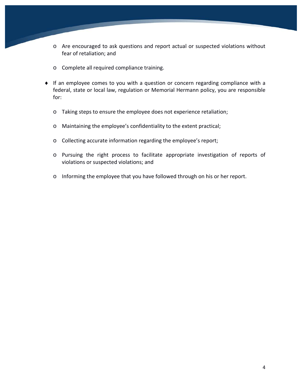- o Are encouraged to ask questions and report actual or suspected violations without fear of retaliation; and
- o Complete all required compliance training.
- ♦ If an employee comes to you with a question or concern regarding compliance with a federal, state or local law, regulation or Memorial Hermann policy, you are responsible for:
	- o Taking steps to ensure the employee does not experience retaliation;
	- o Maintaining the employee's confidentiality to the extent practical;
	- o Collecting accurate information regarding the employee's report;
	- o Pursuing the right process to facilitate appropriate investigation of reports of violations or suspected violations; and
	- o Informing the employee that you have followed through on his or her report.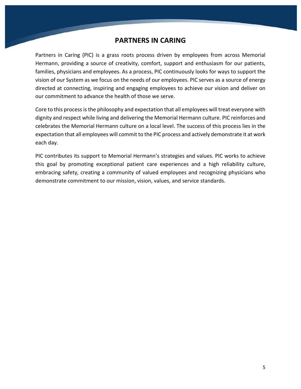#### **PARTNERS IN CARING**

Partners in Caring (PIC) is a grass roots process driven by employees from across Memorial Hermann, providing a source of creativity, comfort, support and enthusiasm for our patients, families, physicians and employees. As a process, PIC continuously looks for ways to support the vision of our System as we focus on the needs of our employees. PIC serves as a source of energy directed at connecting, inspiring and engaging employees to achieve our vision and deliver on our commitment to advance the health of those we serve.

Core to this process is the philosophy and expectation that all employees will treat everyone with dignity and respect while living and delivering the Memorial Hermann culture. PIC reinforces and celebrates the Memorial Hermann culture on a local level. The success of this process lies in the expectation that all employees will commit to the PIC process and actively demonstrate it at work each day.

PIC contributes its support to Memorial Hermann's strategies and values. PIC works to achieve this goal by promoting exceptional patient care experiences and a high reliability culture, embracing safety, creating a community of valued employees and recognizing physicians who demonstrate commitment to our mission, vision, values, and service standards.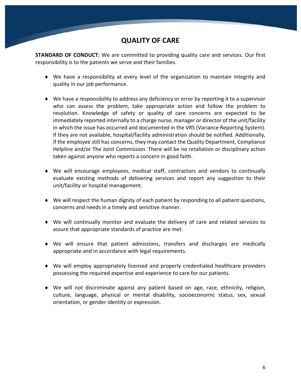### **QUALITY OF CARE**

**STANDARD OF CONDUCT:** We are committed to providing quality care and services. Our first responsibility is to the patients we serve and their families.

- ♦ We have a responsibility at every level of the organization to maintain integrity and quality in our job performance.
- $\blacklozenge$  We have a responsibility to address any deficiency or error by reporting it to a supervisor who can assess the problem, take appropriate action and follow the problem to resolution. Knowledge of safety or quality of care concerns are expected to be immediately reported internally to a charge nurse, manager or director of the unit/facility in which the issue has occurred and documented in the VRS (Variance Reporting System). If they are not available, hospital/facility administration should be notified. Additionally, if the employee still has concerns, they may contact the Quality Department, Compliance Helpline and/or The Joint Commission. There will be no retaliation or disciplinary action taken against anyone who reports a concern in good faith.
- ♦ We will encourage employees, medical staff, contractors and vendors to continually evaluate existing methods of delivering services and report any suggestion to their unit/facility or hospital management.
- ♦ We will respect the human dignity of each patient by responding to all patient questions, concerns and needs in a timely and sensitive manner.
- ♦ We will continually monitor and evaluate the delivery of care and related services to assure that appropriate standards of practice are met.
- ♦ We will ensure that patient admissions, transfers and discharges are medically appropriate and in accordance with legal requirements.
- ♦ We will employ appropriately licensed and properly credentialed healthcare providers possessing the required expertise and experience to care for our patients.
- ♦ We will not discriminate against any patient based on age, race, ethnicity, religion, culture, language, physical or mental disability, socioeconomic status, sex, sexual orientation, or gender identity or expression.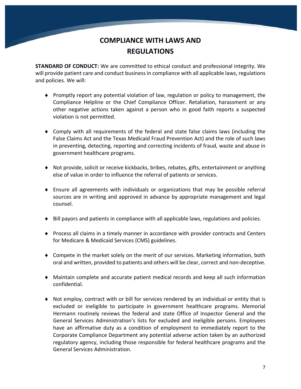## **COMPLIANCE WITH LAWS AND REGULATIONS**

**STANDARD OF CONDUCT:** We are committed to ethical conduct and professional integrity. We will provide patient care and conduct business in compliance with all applicable laws, regulations and policies. We will:

- ♦ Promptly report any potential violation of law, regulation or policy to management, the Compliance Helpline or the Chief Compliance Officer. Retaliation, harassment or any other negative actions taken against a person who in good faith reports a suspected violation is not permitted.
- ♦ Comply with all requirements of the federal and state false claims laws (including the False Claims Act and the Texas Medicaid Fraud Prevention Act) and the role of such laws in preventing, detecting, reporting and correcting incidents of fraud, waste and abuse in government healthcare programs.
- ♦ Not provide, solicit or receive kickbacks, bribes, rebates, gifts, entertainment or anything else of value in order to influence the referral of patients or services.
- ♦ Ensure all agreements with individuals or organizations that may be possible referral sources are in writing and approved in advance by appropriate management and legal counsel.
- ♦ Bill payors and patients in compliance with all applicable laws, regulations and policies.
- ♦ Process all claims in a timely manner in accordance with provider contracts and Centers for Medicare & Medicaid Services (CMS) guidelines.
- ♦ Compete in the market solely on the merit of our services. Marketing information, both oral and written, provided to patients and others will be clear, correct and non-deceptive.
- ♦ Maintain complete and accurate patient medical records and keep all such information confidential.
- ♦ Not employ, contract with or bill for services rendered by an individual or entity that is excluded or ineligible to participate in government healthcare programs. Memorial Hermann routinely reviews the federal and state Office of Inspector General and the General Services Administration's lists for excluded and ineligible persons. Employees have an affirmative duty as a condition of employment to immediately report to the Corporate Compliance Department any potential adverse action taken by an authorized regulatory agency, including those responsible for federal healthcare programs and the General Services Administration.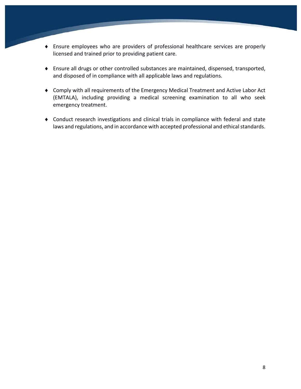- ♦ Ensure employees who are providers of professional healthcare services are properly licensed and trained prior to providing patient care.
- ♦ Ensure all drugs or other controlled substances are maintained, dispensed, transported, and disposed of in compliance with all applicable laws and regulations.
- ♦ Comply with all requirements of the Emergency Medical Treatment and Active Labor Act (EMTALA), including providing a medical screening examination to all who seek emergency treatment.
- ♦ Conduct research investigations and clinical trials in compliance with federal and state laws and regulations, and in accordance with accepted professional and ethical standards.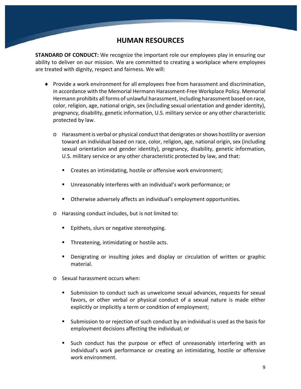#### **HUMAN RESOURCES**

**STANDARD OF CONDUCT:** We recognize the important role our employees play in ensuring our ability to deliver on our mission. We are committed to creating a workplace where employees are treated with dignity, respect and fairness. We will:

- ♦ Provide a work environment for all employees free from harassment and discrimination, in accordance with the Memorial Hermann Harassment-Free Workplace Policy. Memorial Hermann prohibits all forms of unlawful harassment, including harassment based on race, color, religion, age, national origin, sex (including sexual orientation and gender identity), pregnancy, disability, genetic information, U.S. military service or any other characteristic protected by law.
	- o Harassment is verbal or physical conduct that denigrates or shows hostility or aversion toward an individual based on race, color, religion, age, national origin, sex (including sexual orientation and gender identity), pregnancy, disability, genetic information, U.S. military service or any other characteristic protected by law, and that:
		- Creates an intimidating, hostile or offensive work environment;
		- Unreasonably interferes with an individual's work performance; or
		- Otherwise adversely affects an individual's employment opportunities.
	- o Harassing conduct includes, but is not limited to:
		- **Epithets, slurs or negative stereotyping.**
		- **Threatening, intimidating or hostile acts.**
		- Denigrating or insulting jokes and display or circulation of written or graphic material.
	- o Sexual harassment occurs when:
		- Submission to conduct such as unwelcome sexual advances, requests for sexual favors, or other verbal or physical conduct of a sexual nature is made either explicitly or implicitly a term or condition of employment;
		- Submission to or rejection of such conduct by an individual is used as the basis for employment decisions affecting the individual; or
		- Such conduct has the purpose or effect of unreasonably interfering with an individual's work performance or creating an intimidating, hostile or offensive work environment.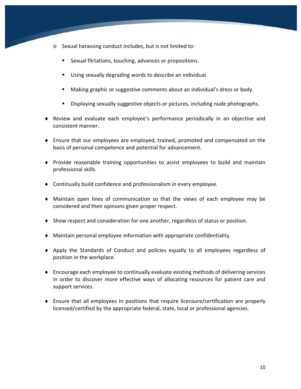- o Sexual harassing conduct includes, but is not limited to:
	- Sexual flirtations, touching, advances or propositions.
	- Using sexually degrading words to describe an individual.
	- Making graphic or suggestive comments about an individual's dress or body.
	- Displaying sexually suggestive objects or pictures, including nude photographs.
- ♦ Review and evaluate each employee's performance periodically in an objective and consistent manner.
- ♦ Ensure that our employees are employed, trained, promoted and compensated on the basis of personal competence and potential for advancement.
- ♦ Provide reasonable training opportunities to assist employees to build and maintain professional skills.
- ♦ Continually build confidence and professionalism in every employee.
- ♦ Maintain open lines of communication so that the views of each employee may be considered and their opinions given proper respect.
- ♦ Show respect and consideration for one another, regardless of status or position.
- ♦ Maintain personal employee information with appropriate confidentiality.
- ♦ Apply the Standards of Conduct and policies equally to all employees regardless of position in the workplace.
- ♦ Encourage each employee to continually evaluate existing methods of delivering services in order to discover more effective ways of allocating resources for patient care and support services.
- ♦ Ensure that all employees in positions that require licensure/certification are properly licensed/certified by the appropriate federal, state, local or professional agencies.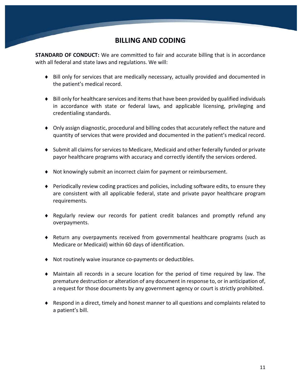#### **BILLING AND CODING**

**STANDARD OF CONDUCT:** We are committed to fair and accurate billing that is in accordance with all federal and state laws and regulations. We will:

- ♦ Bill only for services that are medically necessary, actually provided and documented in the patient's medical record.
- ♦ Bill only for healthcare services and items that have been provided by qualified individuals in accordance with state or federal laws, and applicable licensing, privileging and credentialing standards.
- ♦ Only assign diagnostic, procedural and billing codes that accurately reflect the nature and quantity of services that were provided and documented in the patient's medical record.
- ♦ Submit all claims for services to Medicare, Medicaid and other federally funded or private payor healthcare programs with accuracy and correctly identify the services ordered.
- ♦ Not knowingly submit an incorrect claim for payment or reimbursement.
- ♦ Periodically review coding practices and policies, including software edits, to ensure they are consistent with all applicable federal, state and private payor healthcare program requirements.
- ♦ Regularly review our records for patient credit balances and promptly refund any overpayments.
- ♦ Return any overpayments received from governmental healthcare programs (such as Medicare or Medicaid) within 60 days of identification.
- ♦ Not routinely waive insurance co-payments or deductibles.
- ♦ Maintain all records in a secure location for the period of time required by law. The premature destruction or alteration of any document in response to, or in anticipation of, a request for those documents by any government agency or court is strictly prohibited.
- ♦ Respond in a direct, timely and honest manner to all questions and complaints related to a patient's bill.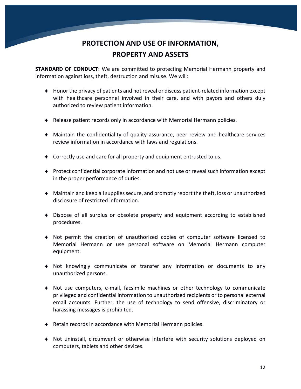# **PROTECTION AND USE OF INFORMATION, PROPERTY AND ASSETS**

**STANDARD OF CONDUCT:** We are committed to protecting Memorial Hermann property and information against loss, theft, destruction and misuse. We will:

- ♦ Honor the privacy of patients and not reveal or discuss patient-related information except with healthcare personnel involved in their care, and with payors and others duly authorized to review patient information.
- ♦ Release patient records only in accordance with Memorial Hermann policies.
- ♦ Maintain the confidentiality of quality assurance, peer review and healthcare services review information in accordance with laws and regulations.
- ♦ Correctly use and care for all property and equipment entrusted to us.
- ♦ Protect confidential corporate information and not use or reveal such information except in the proper performance of duties.
- ♦ Maintain and keep all supplies secure, and promptly report the theft, loss or unauthorized disclosure of restricted information.
- ♦ Dispose of all surplus or obsolete property and equipment according to established procedures.
- ♦ Not permit the creation of unauthorized copies of computer software licensed to Memorial Hermann or use personal software on Memorial Hermann computer equipment.
- ♦ Not knowingly communicate or transfer any information or documents to any unauthorized persons.
- ♦ Not use computers, e-mail, facsimile machines or other technology to communicate privileged and confidential information to unauthorized recipients or to personal external email accounts. Further, the use of technology to send offensive, discriminatory or harassing messages is prohibited.
- ♦ Retain records in accordance with Memorial Hermann policies.
- ♦ Not uninstall, circumvent or otherwise interfere with security solutions deployed on computers, tablets and other devices.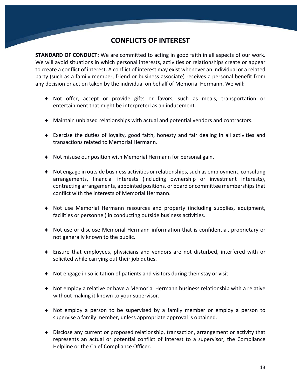### **CONFLICTS OF INTEREST**

**STANDARD OF CONDUCT:** We are committed to acting in good faith in all aspects of our work. We will avoid situations in which personal interests, activities or relationships create or appear to create a conflict of interest. A conflict of interest may exist whenever an individual or a related party (such as a family member, friend or business associate) receives a personal benefit from any decision or action taken by the individual on behalf of Memorial Hermann. We will:

- ♦ Not offer, accept or provide gifts or favors, such as meals, transportation or entertainment that might be interpreted as an inducement.
- ♦ Maintain unbiased relationships with actual and potential vendors and contractors.
- ♦ Exercise the duties of loyalty, good faith, honesty and fair dealing in all activities and transactions related to Memorial Hermann.
- ♦ Not misuse our position with Memorial Hermann for personal gain.
- ♦ Not engage in outside business activities or relationships, such as employment, consulting arrangements, financial interests (including ownership or investment interests), contracting arrangements, appointed positions, or board or committee memberships that conflict with the interests of Memorial Hermann.
- ♦ Not use Memorial Hermann resources and property (including supplies, equipment, facilities or personnel) in conducting outside business activities.
- ♦ Not use or disclose Memorial Hermann information that is confidential, proprietary or not generally known to the public.
- ♦ Ensure that employees, physicians and vendors are not disturbed, interfered with or solicited while carrying out their job duties.
- ♦ Not engage in solicitation of patients and visitors during their stay or visit.
- ♦ Not employ a relative or have a Memorial Hermann business relationship with a relative without making it known to your supervisor.
- ♦ Not employ a person to be supervised by a family member or employ a person to supervise a family member, unless appropriate approval is obtained.
- ♦ Disclose any current or proposed relationship, transaction, arrangement or activity that represents an actual or potential conflict of interest to a supervisor, the Compliance Helpline or the Chief Compliance Officer.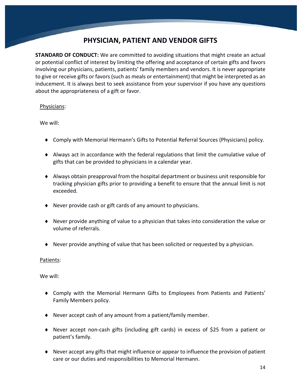### **PHYSICIAN, PATIENT AND VENDOR GIFTS**

**STANDARD OF CONDUCT:** We are committed to avoiding situations that might create an actual or potential conflict of interest by limiting the offering and acceptance of certain gifts and favors involving our physicians, patients, patients' family members and vendors. It is never appropriate to give or receive gifts or favors (such as meals or entertainment) that might be interpreted as an inducement. It is always best to seek assistance from your supervisor if you have any questions about the appropriateness of a gift or favor.

#### Physicians:

We will:

- ♦ Comply with Memorial Hermann's Gifts to Potential Referral Sources (Physicians) policy.
- ♦ Always act in accordance with the federal regulations that limit the cumulative value of gifts that can be provided to physicians in a calendar year.
- ♦ Always obtain preapproval from the hospital department or business unit responsible for tracking physician gifts prior to providing a benefit to ensure that the annual limit is not exceeded.
- ♦ Never provide cash or gift cards of any amount to physicians.
- ♦ Never provide anything of value to a physician that takes into consideration the value or volume of referrals.
- ♦ Never provide anything of value that has been solicited or requested by a physician.

#### Patients:

We will:

- ♦ Comply with the Memorial Hermann Gifts to Employees from Patients and Patients' Family Members policy.
- ♦ Never accept cash of any amount from a patient/family member.
- ♦ Never accept non-cash gifts (including gift cards) in excess of \$25 from a patient or patient's family.
- ♦ Never accept any gifts that might influence or appear to influence the provision of patient care or our duties and responsibilities to Memorial Hermann.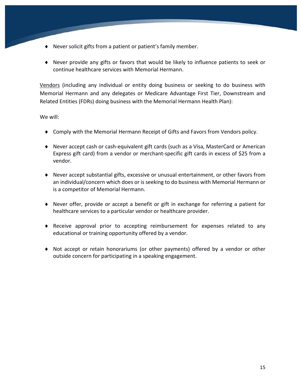- ♦ Never solicit gifts from a patient or patient's family member.
- ♦ Never provide any gifts or favors that would be likely to influence patients to seek or continue healthcare services with Memorial Hermann.

Vendors (including any individual or entity doing business or seeking to do business with Memorial Hermann and any delegates or Medicare Advantage First Tier, Downstream and Related Entities (FDRs) doing business with the Memorial Hermann Health Plan):

We will:

- ♦ Comply with the Memorial Hermann Receipt of Gifts and Favors from Vendors policy.
- ♦ Never accept cash or cash-equivalent gift cards (such as a Visa, MasterCard or American Express gift card) from a vendor or merchant-specific gift cards in excess of \$25 from a vendor.
- ♦ Never accept substantial gifts, excessive or unusual entertainment, or other favors from an individual/concern which does or is seeking to do business with Memorial Hermann or is a competitor of Memorial Hermann.
- ♦ Never offer, provide or accept a benefit or gift in exchange for referring a patient for healthcare services to a particular vendor or healthcare provider.
- ♦ Receive approval prior to accepting reimbursement for expenses related to any educational or training opportunity offered by a vendor.
- ♦ Not accept or retain honorariums (or other payments) offered by a vendor or other outside concern for participating in a speaking engagement.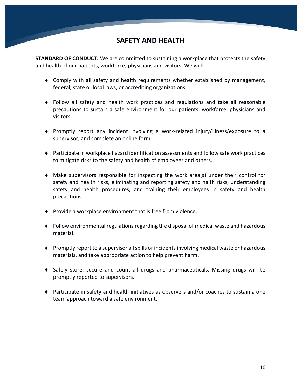#### **SAFETY AND HEALTH**

**STANDARD OF CONDUCT:** We are committed to sustaining a workplace that protects the safety and health of our patients, workforce, physicians and visitors. We will:

- ♦ Comply with all safety and health requirements whether established by management, federal, state or local laws, or accrediting organizations.
- ♦ Follow all safety and health work practices and regulations and take all reasonable precautions to sustain a safe environment for our patients, workforce, physicians and visitors.
- ♦ Promptly report any incident involving a work-related injury/illness/exposure to a supervisor, and complete an online form.
- ♦ Participate in workplace hazard identification assessments and follow safe work practices to mitigate risks to the safety and health of employees and others.
- ♦ Make supervisors responsible for inspecting the work area(s) under their control for safety and health risks, eliminating and reporting safety and halth risks, understanding safety and health procedures, and training their employees in safety and health precautions.
- ♦ Provide a workplace environment that is free from violence.
- ♦ Follow environmental regulations regarding the disposal of medical waste and hazardous material.
- $\blacklozenge$  Promptly report to a supervisor all spills or incidents involving medical waste or hazardous materials, and take appropriate action to help prevent harm.
- ♦ Safely store, secure and count all drugs and pharmaceuticals. Missing drugs will be promptly reported to supervisors.
- ♦ Participate in safety and health initiatives as observers and/or coaches to sustain a one team approach toward a safe environment.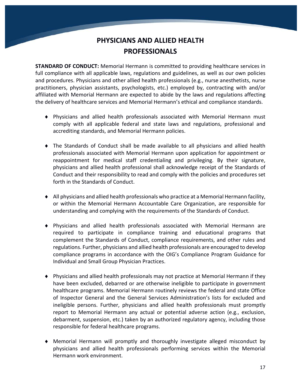# **PHYSICIANS AND ALLIED HEALTH PROFESSIONALS**

**STANDARD OF CONDUCT:** Memorial Hermann is committed to providing healthcare services in full compliance with all applicable laws, regulations and guidelines, as well as our own policies and procedures. Physicians and other allied health professionals (e.g., nurse anesthetists, nurse practitioners, physician assistants, psychologists, etc.) employed by, contracting with and/or affiliated with Memorial Hermann are expected to abide by the laws and regulations affecting the delivery of healthcare services and Memorial Hermann's ethical and compliance standards.

- ♦ Physicians and allied health professionals associated with Memorial Hermann must comply with all applicable federal and state laws and regulations, professional and accrediting standards, and Memorial Hermann policies.
- ♦ The Standards of Conduct shall be made available to all physicians and allied health professionals associated with Memorial Hermann upon application for appointment or reappointment for medical staff credentialing and privileging. By their signature, physicians and allied health professional shall acknowledge receipt of the Standards of Conduct and their responsibility to read and comply with the policies and procedures set forth in the Standards of Conduct.
- $\blacklozenge$  All physicians and allied health professionals who practice at a Memorial Hermann facility, or within the Memorial Hermann Accountable Care Organization, are responsible for understanding and complying with the requirements of the Standards of Conduct.
- ♦ Physicians and allied health professionals associated with Memorial Hermann are required to participate in compliance training and educational programs that complement the Standards of Conduct, compliance requirements, and other rules and regulations. Further, physicians and allied health professionals are encouraged to develop compliance programs in accordance with the OIG's Compliance Program Guidance for Individual and Small Group Physician Practices.
- ♦ Physicians and allied health professionals may not practice at Memorial Hermann if they have been excluded, debarred or are otherwise ineligible to participate in government healthcare programs. Memorial Hermann routinely reviews the federal and state Office of Inspector General and the General Services Administration's lists for excluded and ineligible persons. Further, physicians and allied health professionals must promptly report to Memorial Hermann any actual or potential adverse action (e.g., exclusion, debarment, suspension, etc.) taken by an authorized regulatory agency, including those responsible for federal healthcare programs.
- ♦ Memorial Hermann will promptly and thoroughly investigate alleged misconduct by physicians and allied health professionals performing services within the Memorial Hermann work environment.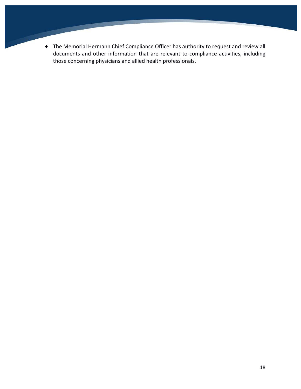♦ The Memorial Hermann Chief Compliance Officer has authority to request and review all documents and other information that are relevant to compliance activities, including those concerning physicians and allied health professionals.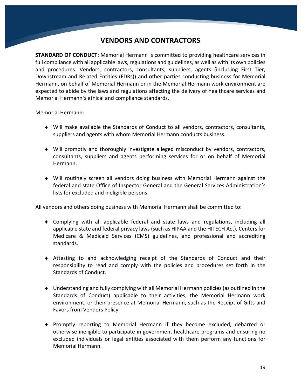#### **VENDORS AND CONTRACTORS**

**STANDARD OF CONDUCT:** Memorial Hermann is committed to providing healthcare services in full compliance with all applicable laws, regulations and guidelines, as well as with its own policies and procedures. Vendors, contractors, consultants, suppliers, agents (including First Tier, Downstream and Related Entities (FDRs)) and other parties conducting business for Memorial Hermann, on behalf of Memorial Hermann or in the Memorial Hermann work environment are expected to abide by the laws and regulations affecting the delivery of healthcare services and Memorial Hermann's ethical and compliance standards.

Memorial Hermann:

- ♦ Will make available the Standards of Conduct to all vendors, contractors, consultants, suppliers and agents with whom Memorial Hermann conducts business.
- ♦ Will promptly and thoroughly investigate alleged misconduct by vendors, contractors, consultants, suppliers and agents performing services for or on behalf of Memorial Hermann.
- ♦ Will routinely screen all vendors doing business with Memorial Hermann against the federal and state Office of Inspector General and the General Services Administration's lists for excluded and ineligible persons.

All vendors and others doing business with Memorial Hermann shall be committed to:

- ♦ Complying with all applicable federal and state laws and regulations, including all applicable state and federal privacy laws (such as HIPAA and the HITECH Act), Centers for Medicare & Medicaid Services (CMS) guidelines, and professional and accrediting standards.
- ♦ Attesting to and acknowledging receipt of the Standards of Conduct and their responsibility to read and comply with the policies and procedures set forth in the Standards of Conduct.
- ♦ Understanding and fully complying with all Memorial Hermann policies(as outlined in the Standards of Conduct) applicable to their activities, the Memorial Hermann work environment, or their presence at Memorial Hermann, such as the Receipt of Gifts and Favors from Vendors Policy.
- ♦ Promptly reporting to Memorial Hermann if they become excluded, debarred or otherwise ineligible to participate in government healthcare programs and ensuring no excluded individuals or legal entities associated with them perform any functions for Memorial Hermann.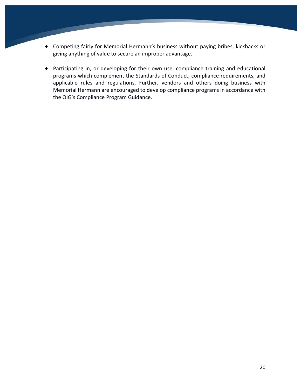- ♦ Competing fairly for Memorial Hermann's business without paying bribes, kickbacks or giving anything of value to secure an improper advantage.
- ♦ Participating in, or developing for their own use, compliance training and educational programs which complement the Standards of Conduct, compliance requirements, and applicable rules and regulations. Further, vendors and others doing business with Memorial Hermann are encouraged to develop compliance programs in accordance with the OIG's Compliance Program Guidance.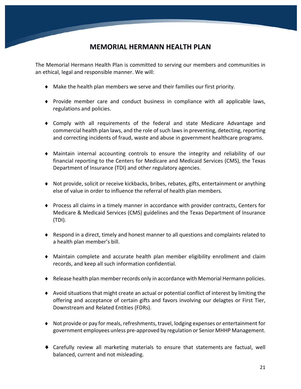### **MEMORIAL HERMANN HEALTH PLAN**

The Memorial Hermann Health Plan is committed to serving our members and communities in an ethical, legal and responsible manner. We will:

- ♦ Make the health plan members we serve and their families our first priority.
- ♦ Provide member care and conduct business in compliance with all applicable laws, regulations and policies.
- ♦ Comply with all requirements of the federal and state Medicare Advantage and commercial health plan laws, and the role of such laws in preventing, detecting, reporting and correcting incidents of fraud, waste and abuse in government healthcare programs.
- ♦ Maintain internal accounting controls to ensure the integrity and reliability of our financial reporting to the Centers for Medicare and Medicaid Services (CMS), the Texas Department of Insurance (TDI) and other regulatory agencies.
- ♦ Not provide, solicit or receive kickbacks, bribes, rebates, gifts, entertainment or anything else of value in order to influence the referral of health plan members.
- ♦ Process all claims in a timely manner in accordance with provider contracts, Centers for Medicare & Medicaid Services (CMS) guidelines and the Texas Department of Insurance (TDI).
- ♦ Respond in a direct, timely and honest manner to all questions and complaints related to a health plan member's bill.
- ♦ Maintain complete and accurate health plan member eligibility enrollment and claim records, and keep all such information confidential.
- ♦ Release health plan member records only in accordance with Memorial Hermann policies.
- ♦ Avoid situations that might create an actual or potential conflict of interest by limiting the offering and acceptance of certain gifts and favors involving our delagtes or First Tier, Downstream and Related Entities (FDRs).
- ♦ Not provide or pay for meals, refreshments, travel, lodging expenses or entertainment for government employees unless pre-approved by regulation or Senior MHHP Management.
- ♦ Carefully review all marketing materials to ensure that statements are factual, well balanced, current and not misleading.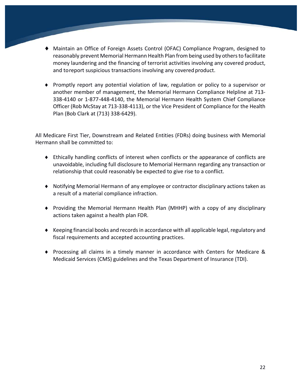- ♦ Maintain an Office of Foreign Assets Control (OFAC) Compliance Program, designed to reasonably prevent Memorial Hermann Health Plan frombeing used by othersto facilitate money laundering and the financing of terrorist activities involving any covered product, and toreport suspicious transactions involving any covered product.
- ♦ Promptly report any potential violation of law, regulation or policy to a supervisor or another member of management, the Memorial Hermann Compliance Helpline at 713- 338-4140 or 1-877-448-4140, the Memorial Hermann Health System Chief Compliance Officer (Rob McStay at 713-338-4113), or the Vice President of Compliance for the Health Plan (Bob Clark at (713) 338-6429).

All Medicare First Tier, Downstream and Related Entities (FDRs) doing business with Memorial Hermann shall be committed to:

- ♦ Ethically handling conflicts of interest when conflicts or the appearance of conflicts are unavoidable, including full disclosure to Memorial Hermann regarding any transaction or relationship that could reasonably be expected to give rise to a conflict.
- ♦ Notifying Memorial Hermann of any employee or contractor disciplinary actions taken as a result of a material compliance infraction.
- ♦ Providing the Memorial Hermann Health Plan (MHHP) with a copy of any disciplinary actions taken against a health plan FDR.
- ♦ Keeping financial books and records in accordance with all applicable legal, regulatory and fiscal requirements and accepted accounting practices.
- ♦ Processing all claims in a timely manner in accordance with Centers for Medicare & Medicaid Services (CMS) guidelines and the Texas Department of Insurance (TDI).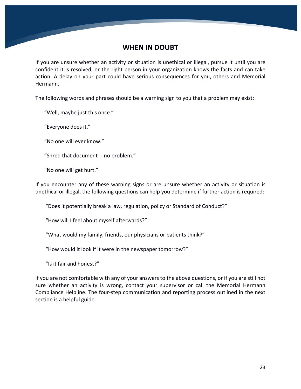#### **WHEN IN DOUBT**

If you are unsure whether an activity or situation is unethical or illegal, pursue it until you are confident it is resolved, or the right person in your organization knows the facts and can take action. A delay on your part could have serious consequences for you, others and Memorial Hermann.

The following words and phrases should be a warning sign to you that a problem may exist:

"Well, maybe just this once."

"Everyone does it."

"No one will ever know."

"Shred that document -- no problem."

"No one will get hurt."

If you encounter any of these warning signs or are unsure whether an activity or situation is unethical or illegal, the following questions can help you determine if further action is required:

"Does it potentially break a law, regulation, policy or Standard of Conduct?"

"How will I feel about myself afterwards?"

"What would my family, friends, our physicians or patients think?"

"How would it look if it were in the newspaper tomorrow?"

"Is it fair and honest?"

If you are not comfortable with any of your answers to the above questions, or if you are still not sure whether an activity is wrong, contact your supervisor or call the Memorial Hermann Compliance Helpline. The four-step communication and reporting process outlined in the next section is a helpful guide.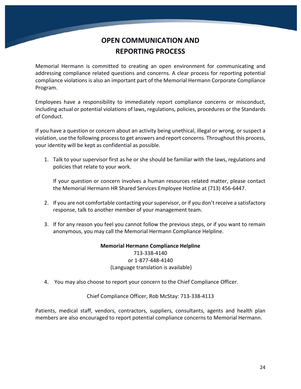# **OPEN COMMUNICATION AND REPORTING PROCESS**

Memorial Hermann is committed to creating an open environment for communicating and addressing compliance related questions and concerns. A clear process for reporting potential compliance violations is also an important part of the Memorial Hermann Corporate Compliance Program.

Employees have a responsibility to immediately report compliance concerns or misconduct, including actual or potential violations of laws, regulations, policies, procedures or the Standards of Conduct.

If you have a question or concern about an activity being unethical, illegal or wrong, or suspect a violation, use the following process to get answers and report concerns. Throughout this process, your identity will be kept as confidential as possible.

1. Talk to your supervisor first as he or she should be familiar with the laws, regulations and policies that relate to your work.

If your question or concern involves a human resources related matter, please contact the Memorial Hermann HR Shared Services Employee Hotline at (713) 456-6447.

- 2. If you are not comfortable contacting your supervisor, or if you don't receive a satisfactory response, talk to another member of your management team.
- 3. If for any reason you feel you cannot follow the previous steps, or if you want to remain anonymous, you may call the Memorial Hermann Compliance Helpline.

**Memorial Hermann Compliance Helpline** 713-338-4140 or 1-877-448-4140 (Language translation is available)

4. You may also choose to report your concern to the Chief Compliance Officer.

#### Chief Compliance Officer, Rob McStay: 713-338-4113

Patients, medical staff, vendors, contractors, suppliers, consultants, agents and health plan members are also encouraged to report potential compliance concerns to Memorial Hermann.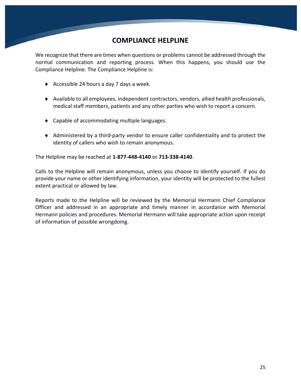#### **COMPLIANCE HELPLINE**

We recognize that there are times when questions or problems cannot be addressed through the normal communication and reporting process. When this happens, you should use the Compliance Helpline. The Compliance Helpline is:

- ♦ Accessible 24 hours a day 7 days a week.
- ♦ Available to all employees, independent contractors, vendors, allied health professionals, medical staff members, patients and any other parties who wish to report a concern.
- ♦ Capable of accommodating multiple languages.
- ♦ Administered by a third-party vendor to ensure caller confidentiality and to protect the identity of callers who wish to remain anonymous.

The Helpline may be reached at **1-877-448-4140** or **713-338-4140**.

Calls to the Helpline will remain anonymous, unless you choose to identify yourself. If you do provide your name or other identifying information, your identity will be protected to the fullest extent practical or allowed by law.

Reports made to the Helpline will be reviewed by the Memorial Hermann Chief Compliance Officer and addressed in an appropriate and timely manner in accordance with Memorial Hermann policies and procedures. Memorial Hermann will take appropriate action upon receipt of information of possible wrongdoing.